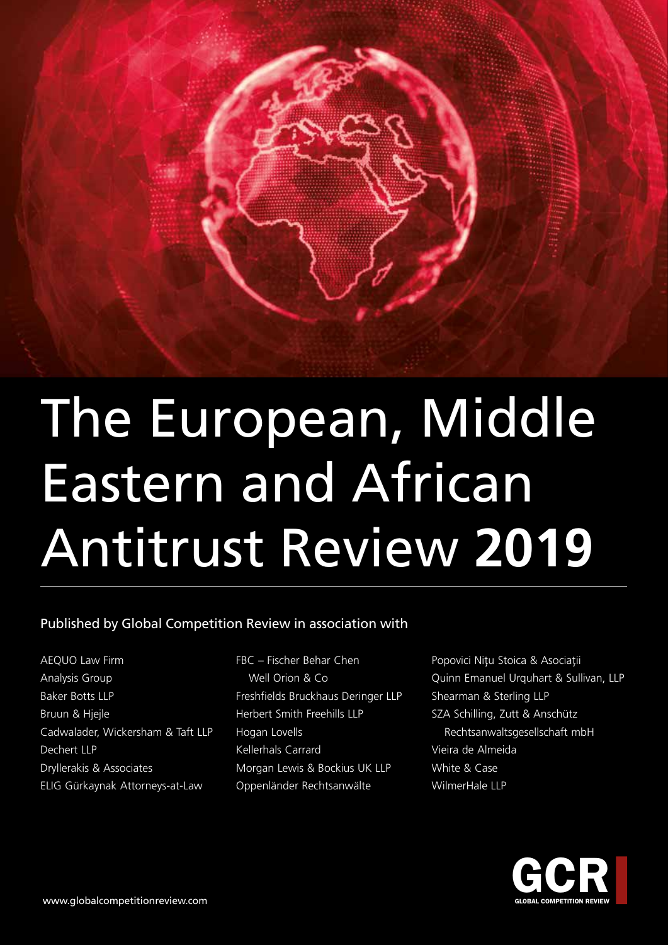## Published by Global Competition Review in association with

- AEQUO Law Firm Analysis Group Baker Botts LLP Bruun & Hjejle Cadwalader, Wickersham & Taft LLP Dechert LLP Dryllerakis & Associates ELIG Gürkaynak Attorneys-at-Law
- FBC Fischer Behar Chen Well Orion & Co Freshfields Bruckhaus Deringer LLP Herbert Smith Freehills LLP Hogan Lovells Kellerhals Carrard Morgan Lewis & Bockius UK LLP Oppenländer Rechtsanwälte
- Popovici Nițu Stoica & Asociații Quinn Emanuel Urquhart & Sullivan, LLP Shearman & Sterling LLP SZA Schilling, Zutt & Anschütz Rechtsanwaltsgesellschaft mbH Vieira de Almeida White & Case WilmerHale LLP

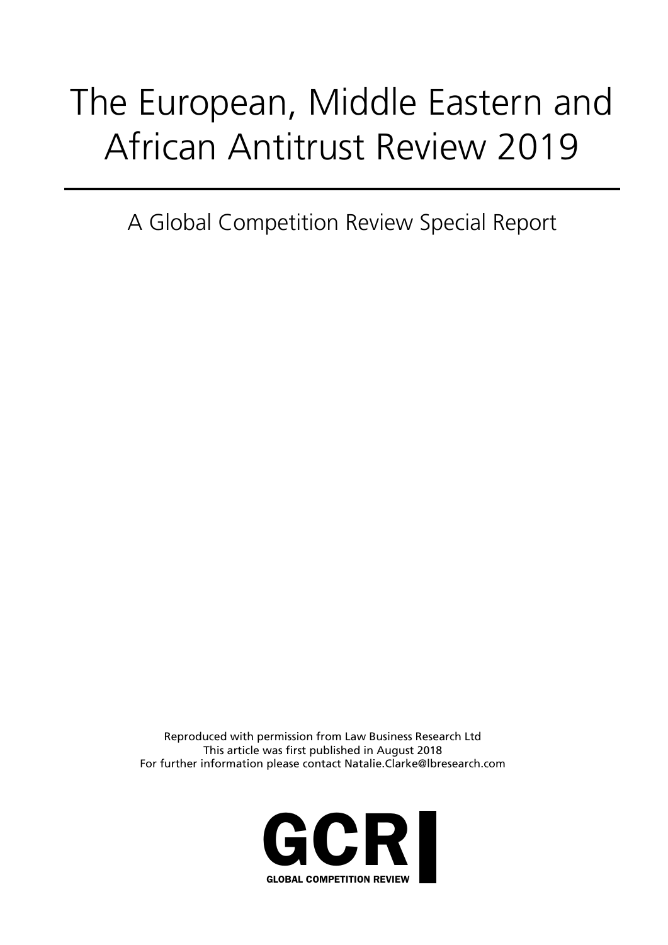A Global Competition Review Special Report

Reproduced with permission from Law Business Research Ltd This article was first published in August 2018 For further information please contact Natalie.Clarke@lbresearch.com

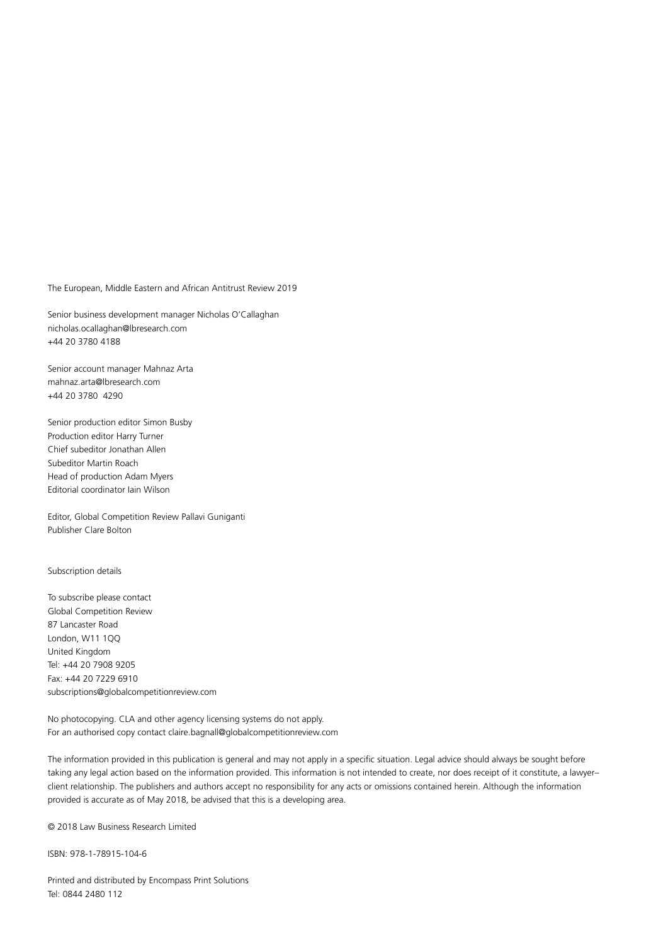Senior business development manager Nicholas O'Callaghan nicholas.ocallaghan@lbresearch.com +44 20 3780 4188

Senior account manager Mahnaz Arta mahnaz.arta@lbresearch.com +44 20 3780 4290

Senior production editor Simon Busby Production editor Harry Turner Chief subeditor Jonathan Allen Subeditor Martin Roach Head of production Adam Myers Editorial coordinator Iain Wilson

Editor, Global Competition Review Pallavi Guniganti Publisher Clare Bolton

#### Subscription details

To subscribe please contact Global Competition Review 87 Lancaster Road London, W11 1QQ United Kingdom Tel: +44 20 7908 9205 Fax: +44 20 7229 6910 subscriptions@globalcompetitionreview.com

No photocopying. CLA and other agency licensing systems do not apply. For an authorised copy contact claire.bagnall@globalcompetitionreview.com

The information provided in this publication is general and may not apply in a specific situation. Legal advice should always be sought before taking any legal action based on the information provided. This information is not intended to create, nor does receipt of it constitute, a lawyer– client relationship. The publishers and authors accept no responsibility for any acts or omissions contained herein. Although the information provided is accurate as of May 2018, be advised that this is a developing area.

© 2018 Law Business Research Limited

ISBN: 978-1-78915-104-6

Printed and distributed by Encompass Print Solutions Tel: 0844 2480 112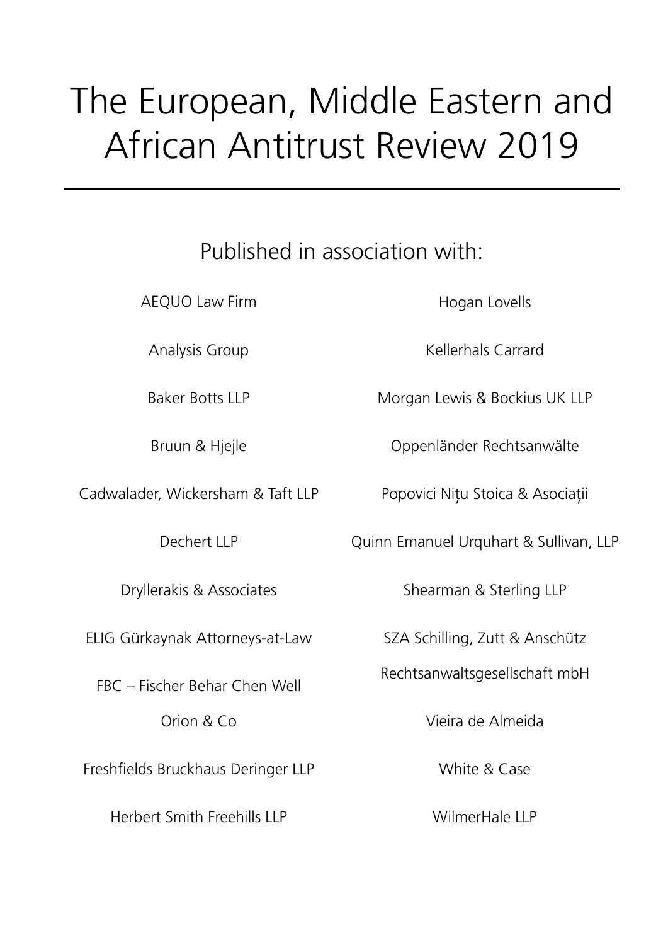## Published in association with:

AEQUO Law Firm

Analysis Group

Baker Botts LLP

Bruun & Hjejle

Cadwalader, Wickersham & Taft LLP

Dechert LLP

Dryllerakis & Associates

ELIG Gürkaynak Attorneys-at-Law

FBC – Fischer Behar Chen Well Orion & Co

Freshfields Bruckhaus Deringer LLP

Herbert Smith Freehills LLP

Hogan Lovells

Kellerhals Carrard

Morgan Lewis & Bockius UK LLP

Oppenländer Rechtsanwälte

Popovici Nițu Stoica & Asociații

Quinn Emanuel Urquhart & Sullivan, LLP

Shearman & Sterling LLP

SZA Schilling, Zutt & Anschütz

Rechtsanwaltsgesellschaft mbH

Vieira de Almeida

White & Case

WilmerHale LLP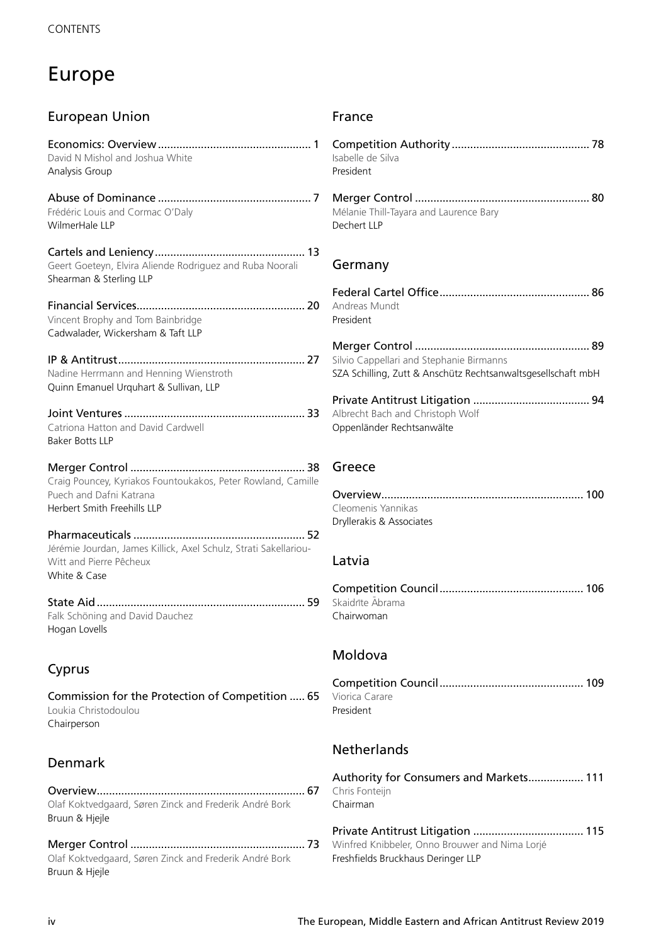## Europe

| <b>European Union</b>                                                                                                  |
|------------------------------------------------------------------------------------------------------------------------|
| David N Mishol and Joshua White<br>Analysis Group                                                                      |
| Frédéric Louis and Cormac O'Daly<br>WilmerHale LLP                                                                     |
| Geert Goeteyn, Elvira Aliende Rodriguez and Ruba Noorali<br>Shearman & Sterling LLP                                    |
| Vincent Brophy and Tom Bainbridge<br>Cadwalader, Wickersham & Taft LLP                                                 |
| Nadine Herrmann and Henning Wienstroth<br>Quinn Emanuel Urquhart & Sullivan, LLP                                       |
| Catriona Hatton and David Cardwell<br>Baker Botts LLP                                                                  |
| Craig Pouncey, Kyriakos Fountoukakos, Peter Rowland, Camille<br>Puech and Dafni Katrana<br>Herbert Smith Freehills LLP |
| Jérémie Jourdan, James Killick, Axel Schulz, Strati Sakellariou-<br>Witt and Pierre Pêcheux<br>White & Case            |
| Falk Schöning and David Dauchez<br>Hogan Lovells                                                                       |
| Cyprus                                                                                                                 |
| Commission for the Protection of Competition  65<br>Loukia Christodoulou<br>Chairperson                                |
| Denmark                                                                                                                |
|                                                                                                                        |

Olaf Koktvedgaard, Søren Zinck and Frederik André Bork Bruun & Hjejle

Merger Control ......................................................... 73 Winfred Knibbeler, Onno Brouwer and Nima Lorjé Olaf Koktvedgaard, Søren Zinck and Frederik André Bork Bruun & Hjejle

## France

| . 1         | Isabelle de Silva<br>President                                                                           |
|-------------|----------------------------------------------------------------------------------------------------------|
| . 7         | Mélanie Thill-Tayara and Laurence Bary<br>Dechert LLP                                                    |
| 13          | Germany                                                                                                  |
| .20         | Andreas Mundt<br>President                                                                               |
| .27         | Silvio Cappellari and Stephanie Birmanns<br>SZA Schilling, Zutt & Anschütz Rechtsanwaltsgesellschaft mbH |
| 33          | Albrecht Bach and Christoph Wolf<br>Oppenländer Rechtsanwälte                                            |
| 38<br>mille | Greece                                                                                                   |
| 52<br>-Ju   | Cleomenis Yannikas<br>Dryllerakis & Associates                                                           |
|             | Latvia                                                                                                   |
| 59          | Skaidrīte Abrama<br>Chairwoman                                                                           |
|             | Moldova                                                                                                  |
| 65          | Viorica Carare<br>President                                                                              |
|             | <b>Netherlands</b>                                                                                       |
| 67          | Authority for Consumers and Markets 111<br>Chris Fonteijn<br>Chairman                                    |
|             | Drivato Antitruct Litiantion<br>115                                                                      |

Private Antitrust Litigation .................................... 115 Freshfields Bruckhaus Deringer LLP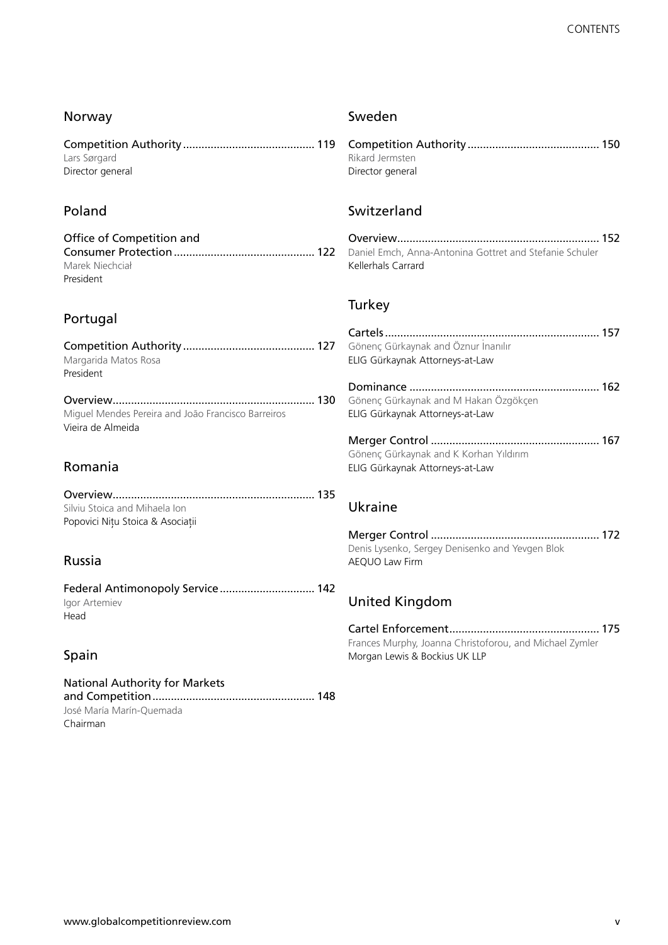| Norway                                                                  | Sweden                                                                                   |  |
|-------------------------------------------------------------------------|------------------------------------------------------------------------------------------|--|
| Lars Sørgard<br>Director general                                        | Rikard Jermsten<br>Director general                                                      |  |
| Poland                                                                  | Switzerland                                                                              |  |
| Office of Competition and<br>Marek Niechciał<br>President               | Daniel Emch, Anna-Antonina Gottret and Stefanie Schuler<br>Kellerhals Carrard            |  |
|                                                                         | Turkey                                                                                   |  |
| Portugal                                                                |                                                                                          |  |
| Margarida Matos Rosa<br>President                                       | Gönenç Gürkaynak and Öznur Inanılır<br>ELIG Gürkaynak Attorneys-at-Law                   |  |
|                                                                         |                                                                                          |  |
| Miguel Mendes Pereira and João Francisco Barreiros<br>Vieira de Almeida | Gönenç Gürkaynak and M Hakan Özgökçen<br>ELIG Gürkaynak Attorneys-at-Law                 |  |
|                                                                         |                                                                                          |  |
| Romania                                                                 | Gönenç Gürkaynak and K Korhan Yıldırım<br>ELIG Gürkaynak Attorneys-at-Law                |  |
|                                                                         |                                                                                          |  |
| Silviu Stoica and Mihaela Ion<br>Popovici Nițu Stoica & Asociații       | Ukraine                                                                                  |  |
|                                                                         |                                                                                          |  |
| Russia                                                                  | Denis Lysenko, Sergey Denisenko and Yevgen Blok<br>AEQUO Law Firm                        |  |
| Federal Antimonopoly Service 142                                        |                                                                                          |  |
| Igor Artemiev<br>Head                                                   | <b>United Kingdom</b>                                                                    |  |
|                                                                         |                                                                                          |  |
| Spain                                                                   | Frances Murphy, Joanna Christoforou, and Michael Zymler<br>Morgan Lewis & Bockius UK LLP |  |
| <b>National Authority for Markets</b><br>José María Marín-Quemada       |                                                                                          |  |

Chairman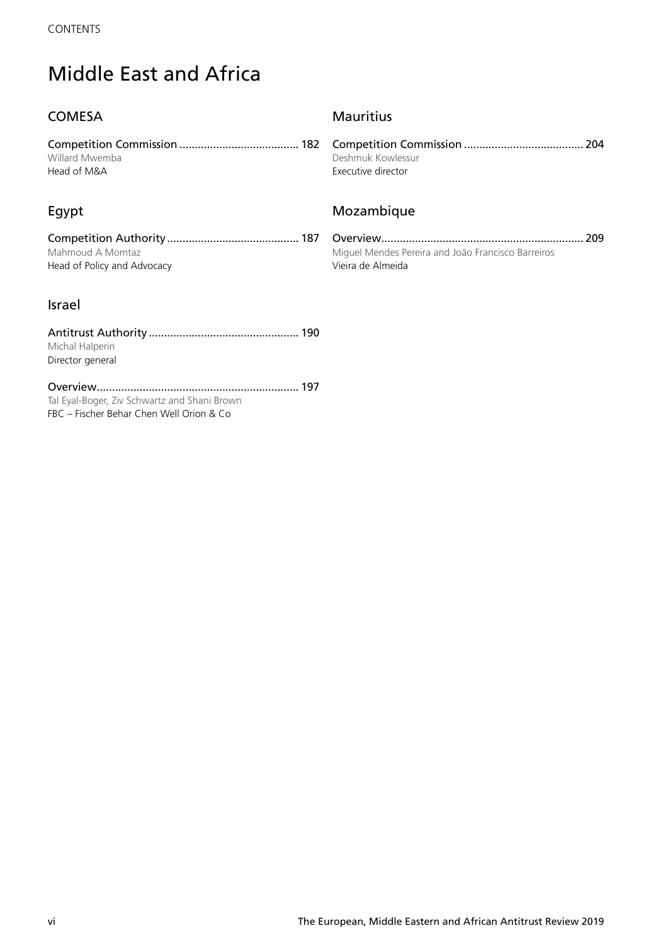## Middle East and Africa

## **COMESA**

Competition Commission ....................................... 182 Willard Mwemba Head of M&A

## Egypt

Competition Authority ........................................... 187 Mahmoud A Momtaz Head of Policy and Advocacy

## Israel

| Michal Halperin  |  |
|------------------|--|
| Director general |  |
|                  |  |

Overview .................................................................. 197 Tal Eyal-Boger, Ziv Schwartz and Shani Brown FBC – Fischer Behar Chen Well Orion & Co

## **Mauritius**

Competition Commission ....................................... 204 Deshmuk Kowlessur Executive director

## Mozambique

Overview .................................................................. 209 Miguel Mendes Pereira and João Francisco Barreiros Vieira de Almeida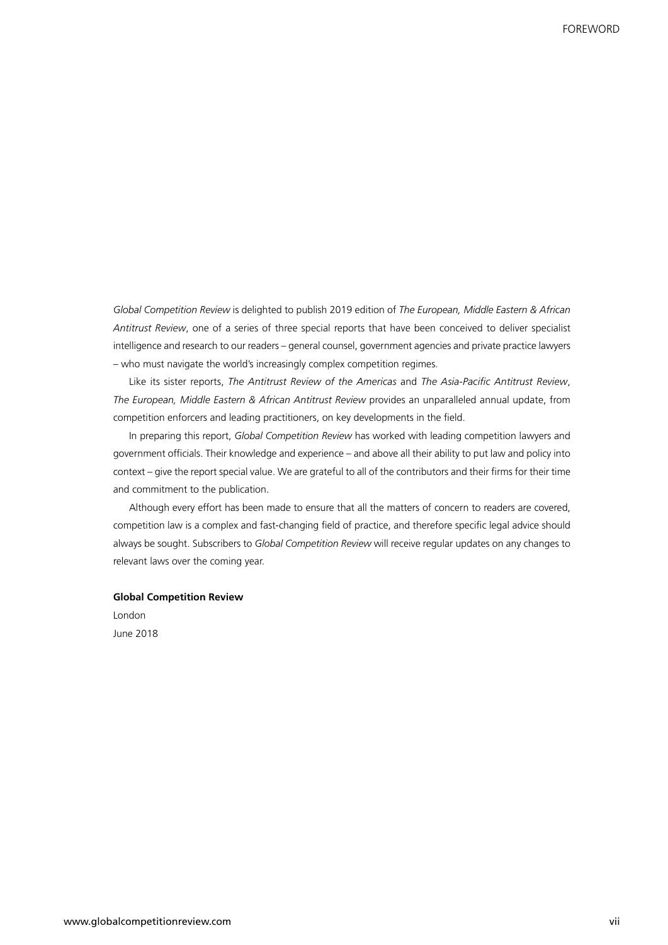*Global Competition Review* is delighted to publish 2019 edition of *The European, Middle Eastern & African Antitrust Review*, one of a series of three special reports that have been conceived to deliver specialist intelligence and research to our readers – general counsel, government agencies and private practice lawyers – who must navigate the world's increasingly complex competition regimes.

Like its sister reports, *The Antitrust Review of the Americas* and *The Asia-Pacific Antitrust Review*, *The European, Middle Eastern & African Antitrust Review* provides an unparalleled annual update, from competition enforcers and leading practitioners, on key developments in the field.

In preparing this report, *Global Competition Review* has worked with leading competition lawyers and government officials. Their knowledge and experience – and above all their ability to put law and policy into context – give the report special value. We are grateful to all of the contributors and their firms for their time and commitment to the publication.

Although every effort has been made to ensure that all the matters of concern to readers are covered, competition law is a complex and fast-changing field of practice, and therefore specific legal advice should always be sought. Subscribers to *Global Competition Review* will receive regular updates on any changes to relevant laws over the coming year.

### **Global Competition Review**

London June 2018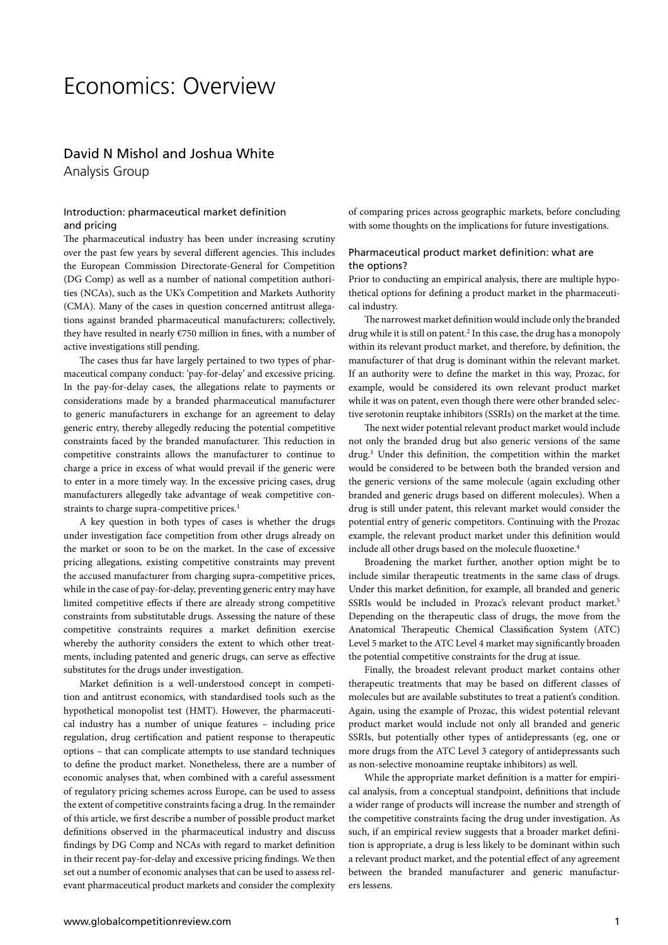## Economics: Overview

## David N Mishol and Joshua White Analysis Group

## Introduction: pharmaceutical market definition and pricing

The pharmaceutical industry has been under increasing scrutiny over the past few years by several different agencies. This includes the European Commission Directorate-General for Competition (DG Comp) as well as a number of national competition authorities (NCAs), such as the UK's Competition and Markets Authority (CMA). Many of the cases in question concerned antitrust allegations against branded pharmaceutical manufacturers; collectively, they have resulted in nearly €750 million in fines, with a number of active investigations still pending.

The cases thus far have largely pertained to two types of pharmaceutical company conduct: 'pay-for-delay' and excessive pricing. In the pay-for-delay cases, the allegations relate to payments or considerations made by a branded pharmaceutical manufacturer to generic manufacturers in exchange for an agreement to delay generic entry, thereby allegedly reducing the potential competitive constraints faced by the branded manufacturer. This reduction in competitive constraints allows the manufacturer to continue to charge a price in excess of what would prevail if the generic were to enter in a more timely way. In the excessive pricing cases, drug manufacturers allegedly take advantage of weak competitive constraints to charge supra-competitive prices.<sup>1</sup>

A key question in both types of cases is whether the drugs under investigation face competition from other drugs already on the market or soon to be on the market. In the case of excessive pricing allegations, existing competitive constraints may prevent the accused manufacturer from charging supra-competitive prices, while in the case of pay-for-delay, preventing generic entry may have limited competitive effects if there are already strong competitive constraints from substitutable drugs. Assessing the nature of these competitive constraints requires a market definition exercise whereby the authority considers the extent to which other treatments, including patented and generic drugs, can serve as effective substitutes for the drugs under investigation.

Market definition is a well-understood concept in competition and antitrust economics, with standardised tools such as the hypothetical monopolist test (HMT). However, the pharmaceutical industry has a number of unique features – including price regulation, drug certification and patient response to therapeutic options – that can complicate attempts to use standard techniques to define the product market. Nonetheless, there are a number of economic analyses that, when combined with a careful assessment of regulatory pricing schemes across Europe, can be used to assess the extent of competitive constraints facing a drug. In the remainder of this article, we first describe a number of possible product market definitions observed in the pharmaceutical industry and discuss findings by DG Comp and NCAs with regard to market definition in their recent pay-for-delay and excessive pricing findings. We then set out a number of economic analyses that can be used to assess relevant pharmaceutical product markets and consider the complexity

of comparing prices across geographic markets, before concluding with some thoughts on the implications for future investigations.

## Pharmaceutical product market definition: what are the options?

Prior to conducting an empirical analysis, there are multiple hypothetical options for defining a product market in the pharmaceutical industry.

The narrowest market definition would include only the branded drug while it is still on patent.<sup>2</sup> In this case, the drug has a monopoly within its relevant product market, and therefore, by definition, the manufacturer of that drug is dominant within the relevant market. If an authority were to define the market in this way, Prozac, for example, would be considered its own relevant product market while it was on patent, even though there were other branded selective serotonin reuptake inhibitors (SSRIs) on the market at the time.

The next wider potential relevant product market would include not only the branded drug but also generic versions of the same drug.3 Under this definition, the competition within the market would be considered to be between both the branded version and the generic versions of the same molecule (again excluding other branded and generic drugs based on different molecules). When a drug is still under patent, this relevant market would consider the potential entry of generic competitors. Continuing with the Prozac example, the relevant product market under this definition would include all other drugs based on the molecule fluoxetine.<sup>4</sup>

Broadening the market further, another option might be to include similar therapeutic treatments in the same class of drugs. Under this market definition, for example, all branded and generic SSRIs would be included in Prozac's relevant product market.<sup>5</sup> Depending on the therapeutic class of drugs, the move from the Anatomical Therapeutic Chemical Classification System (ATC) Level 5 market to the ATC Level 4 market may significantly broaden the potential competitive constraints for the drug at issue.

Finally, the broadest relevant product market contains other therapeutic treatments that may be based on different classes of molecules but are available substitutes to treat a patient's condition. Again, using the example of Prozac, this widest potential relevant product market would include not only all branded and generic SSRIs, but potentially other types of antidepressants (eg, one or more drugs from the ATC Level 3 category of antidepressants such as non-selective monoamine reuptake inhibitors) as well.

While the appropriate market definition is a matter for empirical analysis, from a conceptual standpoint, definitions that include a wider range of products will increase the number and strength of the competitive constraints facing the drug under investigation. As such, if an empirical review suggests that a broader market definition is appropriate, a drug is less likely to be dominant within such a relevant product market, and the potential effect of any agreement between the branded manufacturer and generic manufacturers lessens.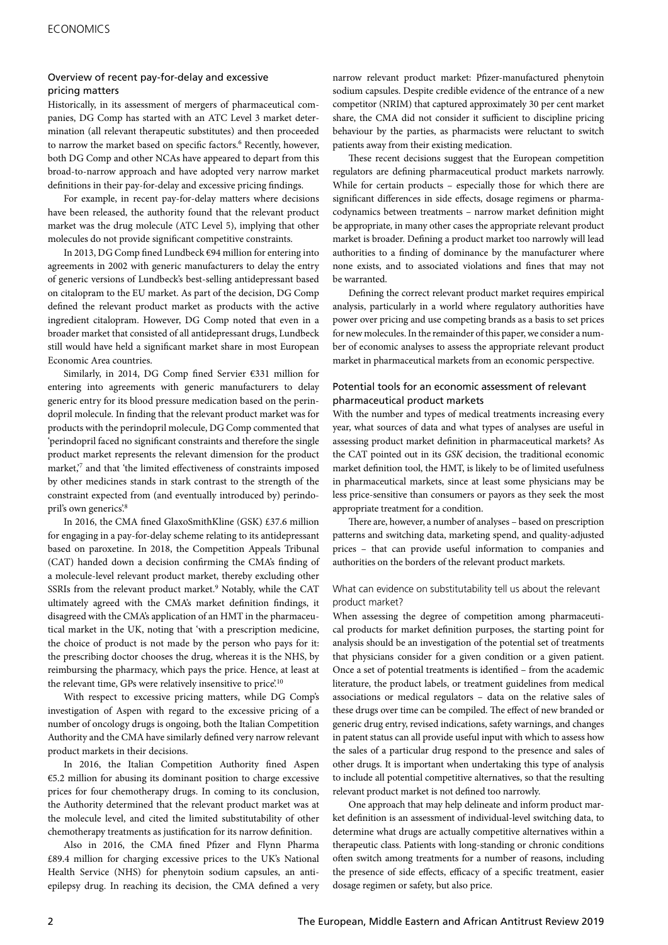## Overview of recent pay-for-delay and excessive pricing matters

Historically, in its assessment of mergers of pharmaceutical companies, DG Comp has started with an ATC Level 3 market determination (all relevant therapeutic substitutes) and then proceeded to narrow the market based on specific factors.<sup>6</sup> Recently, however, both DG Comp and other NCAs have appeared to depart from this broad-to-narrow approach and have adopted very narrow market definitions in their pay-for-delay and excessive pricing findings.

For example, in recent pay-for-delay matters where decisions have been released, the authority found that the relevant product market was the drug molecule (ATC Level 5), implying that other molecules do not provide significant competitive constraints.

In 2013, DG Comp fined Lundbeck €94 million for entering into agreements in 2002 with generic manufacturers to delay the entry of generic versions of Lundbeck's best-selling antidepressant based on citalopram to the EU market. As part of the decision, DG Comp defined the relevant product market as products with the active ingredient citalopram. However, DG Comp noted that even in a broader market that consisted of all antidepressant drugs, Lundbeck still would have held a significant market share in most European Economic Area countries.

Similarly, in 2014, DG Comp fined Servier €331 million for entering into agreements with generic manufacturers to delay generic entry for its blood pressure medication based on the perindopril molecule. In finding that the relevant product market was for products with the perindopril molecule, DG Comp commented that 'perindopril faced no significant constraints and therefore the single product market represents the relevant dimension for the product market,<sup>7</sup> and that 'the limited effectiveness of constraints imposed by other medicines stands in stark contrast to the strength of the constraint expected from (and eventually introduced by) perindopril's own generics'.8

In 2016, the CMA fined GlaxoSmithKline (GSK) £37.6 million for engaging in a pay-for-delay scheme relating to its antidepressant based on paroxetine. In 2018, the Competition Appeals Tribunal (CAT) handed down a decision confirming the CMA's finding of a molecule-level relevant product market, thereby excluding other SSRIs from the relevant product market.<sup>9</sup> Notably, while the CAT ultimately agreed with the CMA's market definition findings, it disagreed with the CMA's application of an HMT in the pharmaceutical market in the UK, noting that 'with a prescription medicine, the choice of product is not made by the person who pays for it: the prescribing doctor chooses the drug, whereas it is the NHS, by reimbursing the pharmacy, which pays the price. Hence, at least at the relevant time, GPs were relatively insensitive to price'.10

With respect to excessive pricing matters, while DG Comp's investigation of Aspen with regard to the excessive pricing of a number of oncology drugs is ongoing, both the Italian Competition Authority and the CMA have similarly defined very narrow relevant product markets in their decisions.

In 2016, the Italian Competition Authority fined Aspen €5.2 million for abusing its dominant position to charge excessive prices for four chemotherapy drugs. In coming to its conclusion, the Authority determined that the relevant product market was at the molecule level, and cited the limited substitutability of other chemotherapy treatments as justification for its narrow definition.

Also in 2016, the CMA fined Pfizer and Flynn Pharma £89.4 million for charging excessive prices to the UK's National Health Service (NHS) for phenytoin sodium capsules, an antiepilepsy drug. In reaching its decision, the CMA defined a very

narrow relevant product market: Pfizer-manufactured phenytoin sodium capsules. Despite credible evidence of the entrance of a new competitor (NRIM) that captured approximately 30 per cent market share, the CMA did not consider it sufficient to discipline pricing behaviour by the parties, as pharmacists were reluctant to switch patients away from their existing medication.

These recent decisions suggest that the European competition regulators are defining pharmaceutical product markets narrowly. While for certain products – especially those for which there are significant differences in side effects, dosage regimens or pharmacodynamics between treatments – narrow market definition might be appropriate, in many other cases the appropriate relevant product market is broader. Defining a product market too narrowly will lead authorities to a finding of dominance by the manufacturer where none exists, and to associated violations and fines that may not be warranted.

Defining the correct relevant product market requires empirical analysis, particularly in a world where regulatory authorities have power over pricing and use competing brands as a basis to set prices for new molecules. In the remainder of this paper, we consider a number of economic analyses to assess the appropriate relevant product market in pharmaceutical markets from an economic perspective.

## Potential tools for an economic assessment of relevant pharmaceutical product markets

With the number and types of medical treatments increasing every year, what sources of data and what types of analyses are useful in assessing product market definition in pharmaceutical markets? As the CAT pointed out in its *GSK* decision, the traditional economic market definition tool, the HMT, is likely to be of limited usefulness in pharmaceutical markets, since at least some physicians may be less price-sensitive than consumers or payors as they seek the most appropriate treatment for a condition.

There are, however, a number of analyses – based on prescription patterns and switching data, marketing spend, and quality-adjusted prices – that can provide useful information to companies and authorities on the borders of the relevant product markets.

### What can evidence on substitutability tell us about the relevant product market?

When assessing the degree of competition among pharmaceutical products for market definition purposes, the starting point for analysis should be an investigation of the potential set of treatments that physicians consider for a given condition or a given patient. Once a set of potential treatments is identified – from the academic literature, the product labels, or treatment guidelines from medical associations or medical regulators – data on the relative sales of these drugs over time can be compiled. The effect of new branded or generic drug entry, revised indications, safety warnings, and changes in patent status can all provide useful input with which to assess how the sales of a particular drug respond to the presence and sales of other drugs. It is important when undertaking this type of analysis to include all potential competitive alternatives, so that the resulting relevant product market is not defined too narrowly.

One approach that may help delineate and inform product market definition is an assessment of individual-level switching data, to determine what drugs are actually competitive alternatives within a therapeutic class. Patients with long-standing or chronic conditions often switch among treatments for a number of reasons, including the presence of side effects, efficacy of a specific treatment, easier dosage regimen or safety, but also price.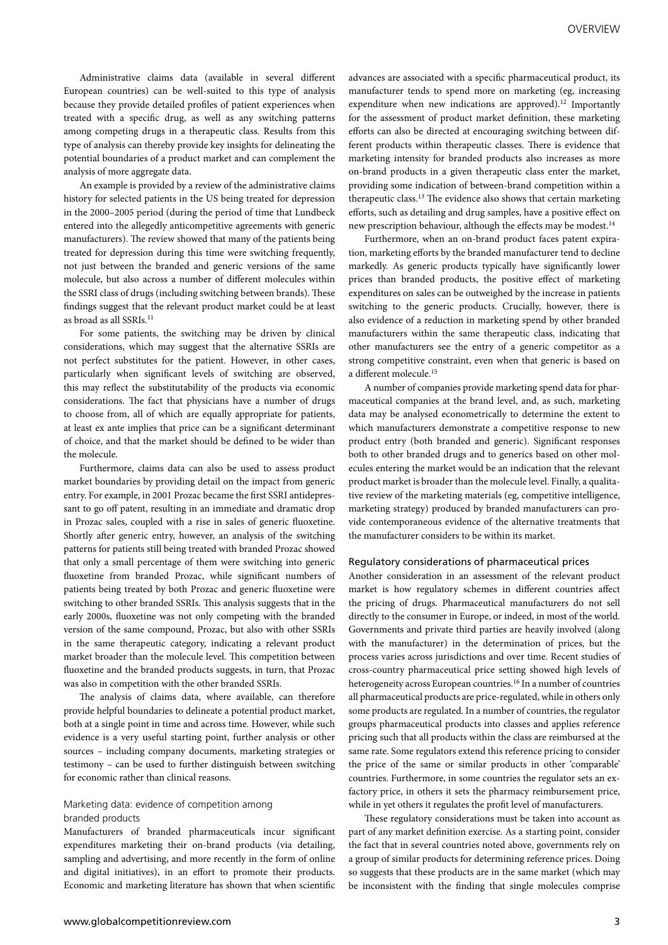Administrative claims data (available in several different European countries) can be well-suited to this type of analysis because they provide detailed profiles of patient experiences when treated with a specific drug, as well as any switching patterns among competing drugs in a therapeutic class. Results from this type of analysis can thereby provide key insights for delineating the potential boundaries of a product market and can complement the analysis of more aggregate data.

An example is provided by a review of the administrative claims history for selected patients in the US being treated for depression in the 2000–2005 period (during the period of time that Lundbeck entered into the allegedly anticompetitive agreements with generic manufacturers). The review showed that many of the patients being treated for depression during this time were switching frequently, not just between the branded and generic versions of the same molecule, but also across a number of different molecules within the SSRI class of drugs (including switching between brands). These findings suggest that the relevant product market could be at least as broad as all SSRIs.<sup>11</sup>

For some patients, the switching may be driven by clinical considerations, which may suggest that the alternative SSRIs are not perfect substitutes for the patient. However, in other cases, particularly when significant levels of switching are observed, this may reflect the substitutability of the products via economic considerations. The fact that physicians have a number of drugs to choose from, all of which are equally appropriate for patients, at least ex ante implies that price can be a significant determinant of choice, and that the market should be defined to be wider than the molecule.

Furthermore, claims data can also be used to assess product market boundaries by providing detail on the impact from generic entry. For example, in 2001 Prozac became the first SSRI antidepressant to go off patent, resulting in an immediate and dramatic drop in Prozac sales, coupled with a rise in sales of generic fluoxetine. Shortly after generic entry, however, an analysis of the switching patterns for patients still being treated with branded Prozac showed that only a small percentage of them were switching into generic fluoxetine from branded Prozac, while significant numbers of patients being treated by both Prozac and generic fluoxetine were switching to other branded SSRIs. This analysis suggests that in the early 2000s, fluoxetine was not only competing with the branded version of the same compound, Prozac, but also with other SSRIs in the same therapeutic category, indicating a relevant product market broader than the molecule level. This competition between fluoxetine and the branded products suggests, in turn, that Prozac was also in competition with the other branded SSRIs.

The analysis of claims data, where available, can therefore provide helpful boundaries to delineate a potential product market, both at a single point in time and across time. However, while such evidence is a very useful starting point, further analysis or other sources – including company documents, marketing strategies or testimony – can be used to further distinguish between switching for economic rather than clinical reasons.

## Marketing data: evidence of competition among branded products

Manufacturers of branded pharmaceuticals incur significant expenditures marketing their on-brand products (via detailing, sampling and advertising, and more recently in the form of online and digital initiatives), in an effort to promote their products. Economic and marketing literature has shown that when scientific advances are associated with a specific pharmaceutical product, its manufacturer tends to spend more on marketing (eg, increasing expenditure when new indications are approved).<sup>12</sup> Importantly for the assessment of product market definition, these marketing efforts can also be directed at encouraging switching between different products within therapeutic classes. There is evidence that marketing intensity for branded products also increases as more on-brand products in a given therapeutic class enter the market, providing some indication of between-brand competition within a therapeutic class.13 The evidence also shows that certain marketing efforts, such as detailing and drug samples, have a positive effect on new prescription behaviour, although the effects may be modest.14

Furthermore, when an on-brand product faces patent expiration, marketing efforts by the branded manufacturer tend to decline markedly. As generic products typically have significantly lower prices than branded products, the positive effect of marketing expenditures on sales can be outweighed by the increase in patients switching to the generic products. Crucially, however, there is also evidence of a reduction in marketing spend by other branded manufacturers within the same therapeutic class, indicating that other manufacturers see the entry of a generic competitor as a strong competitive constraint, even when that generic is based on a different molecule.15

A number of companies provide marketing spend data for pharmaceutical companies at the brand level, and, as such, marketing data may be analysed econometrically to determine the extent to which manufacturers demonstrate a competitive response to new product entry (both branded and generic). Significant responses both to other branded drugs and to generics based on other molecules entering the market would be an indication that the relevant product market is broader than the molecule level. Finally, a qualitative review of the marketing materials (eg, competitive intelligence, marketing strategy) produced by branded manufacturers can provide contemporaneous evidence of the alternative treatments that the manufacturer considers to be within its market.

### Regulatory considerations of pharmaceutical prices

Another consideration in an assessment of the relevant product market is how regulatory schemes in different countries affect the pricing of drugs. Pharmaceutical manufacturers do not sell directly to the consumer in Europe, or indeed, in most of the world. Governments and private third parties are heavily involved (along with the manufacturer) in the determination of prices, but the process varies across jurisdictions and over time. Recent studies of cross-country pharmaceutical price setting showed high levels of heterogeneity across European countries.<sup>16</sup> In a number of countries all pharmaceutical products are price-regulated, while in others only some products are regulated. In a number of countries, the regulator groups pharmaceutical products into classes and applies reference pricing such that all products within the class are reimbursed at the same rate. Some regulators extend this reference pricing to consider the price of the same or similar products in other 'comparable' countries. Furthermore, in some countries the regulator sets an exfactory price, in others it sets the pharmacy reimbursement price, while in yet others it regulates the profit level of manufacturers.

These regulatory considerations must be taken into account as part of any market definition exercise. As a starting point, consider the fact that in several countries noted above, governments rely on a group of similar products for determining reference prices. Doing so suggests that these products are in the same market (which may be inconsistent with the finding that single molecules comprise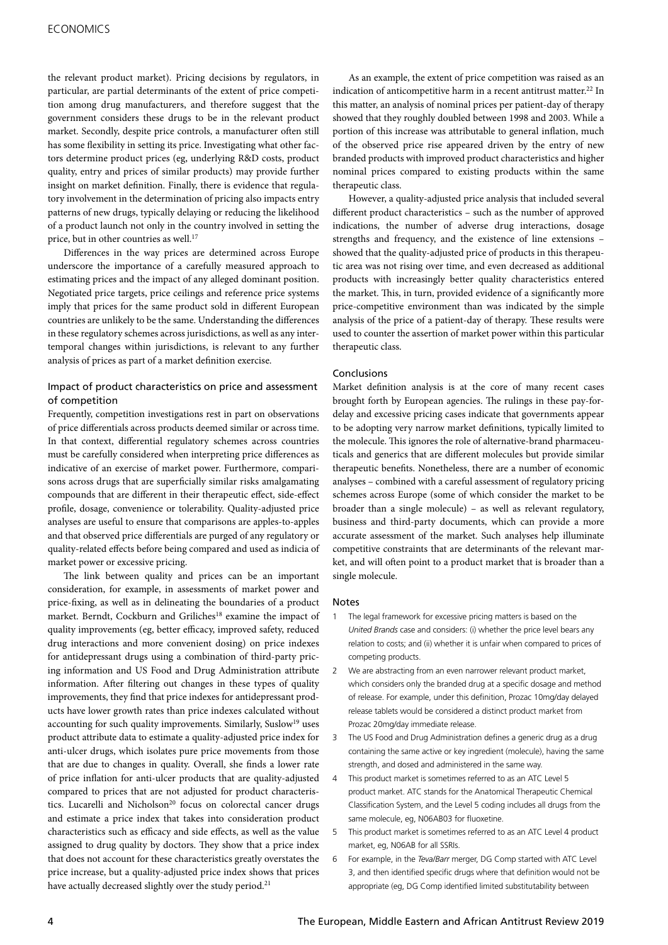the relevant product market). Pricing decisions by regulators, in particular, are partial determinants of the extent of price competition among drug manufacturers, and therefore suggest that the government considers these drugs to be in the relevant product market. Secondly, despite price controls, a manufacturer often still has some flexibility in setting its price. Investigating what other factors determine product prices (eg, underlying R&D costs, product quality, entry and prices of similar products) may provide further insight on market definition. Finally, there is evidence that regulatory involvement in the determination of pricing also impacts entry patterns of new drugs, typically delaying or reducing the likelihood of a product launch not only in the country involved in setting the price, but in other countries as well.<sup>17</sup>

Differences in the way prices are determined across Europe underscore the importance of a carefully measured approach to estimating prices and the impact of any alleged dominant position. Negotiated price targets, price ceilings and reference price systems imply that prices for the same product sold in different European countries are unlikely to be the same. Understanding the differences in these regulatory schemes across jurisdictions, as well as any intertemporal changes within jurisdictions, is relevant to any further analysis of prices as part of a market definition exercise.

## Impact of product characteristics on price and assessment of competition

Frequently, competition investigations rest in part on observations of price differentials across products deemed similar or across time. In that context, differential regulatory schemes across countries must be carefully considered when interpreting price differences as indicative of an exercise of market power. Furthermore, comparisons across drugs that are superficially similar risks amalgamating compounds that are different in their therapeutic effect, side-effect profile, dosage, convenience or tolerability. Quality-adjusted price analyses are useful to ensure that comparisons are apples-to-apples and that observed price differentials are purged of any regulatory or quality-related effects before being compared and used as indicia of market power or excessive pricing.

The link between quality and prices can be an important consideration, for example, in assessments of market power and price-fixing, as well as in delineating the boundaries of a product market. Berndt, Cockburn and Griliches<sup>18</sup> examine the impact of quality improvements (eg, better efficacy, improved safety, reduced drug interactions and more convenient dosing) on price indexes for antidepressant drugs using a combination of third-party pricing information and US Food and Drug Administration attribute information. After filtering out changes in these types of quality improvements, they find that price indexes for antidepressant products have lower growth rates than price indexes calculated without accounting for such quality improvements. Similarly, Suslow<sup>19</sup> uses product attribute data to estimate a quality-adjusted price index for anti-ulcer drugs, which isolates pure price movements from those that are due to changes in quality. Overall, she finds a lower rate of price inflation for anti-ulcer products that are quality-adjusted compared to prices that are not adjusted for product characteristics. Lucarelli and Nicholson<sup>20</sup> focus on colorectal cancer drugs and estimate a price index that takes into consideration product characteristics such as efficacy and side effects, as well as the value assigned to drug quality by doctors. They show that a price index that does not account for these characteristics greatly overstates the price increase, but a quality-adjusted price index shows that prices have actually decreased slightly over the study period.<sup>21</sup>

As an example, the extent of price competition was raised as an indication of anticompetitive harm in a recent antitrust matter.<sup>22</sup> In this matter, an analysis of nominal prices per patient-day of therapy showed that they roughly doubled between 1998 and 2003. While a portion of this increase was attributable to general inflation, much of the observed price rise appeared driven by the entry of new branded products with improved product characteristics and higher nominal prices compared to existing products within the same therapeutic class.

However, a quality-adjusted price analysis that included several different product characteristics – such as the number of approved indications, the number of adverse drug interactions, dosage strengths and frequency, and the existence of line extensions – showed that the quality-adjusted price of products in this therapeutic area was not rising over time, and even decreased as additional products with increasingly better quality characteristics entered the market. This, in turn, provided evidence of a significantly more price-competitive environment than was indicated by the simple analysis of the price of a patient-day of therapy. These results were used to counter the assertion of market power within this particular therapeutic class.

### Conclusions

Market definition analysis is at the core of many recent cases brought forth by European agencies. The rulings in these pay-fordelay and excessive pricing cases indicate that governments appear to be adopting very narrow market definitions, typically limited to the molecule. This ignores the role of alternative-brand pharmaceuticals and generics that are different molecules but provide similar therapeutic benefits. Nonetheless, there are a number of economic analyses – combined with a careful assessment of regulatory pricing schemes across Europe (some of which consider the market to be broader than a single molecule) – as well as relevant regulatory, business and third-party documents, which can provide a more accurate assessment of the market. Such analyses help illuminate competitive constraints that are determinants of the relevant market, and will often point to a product market that is broader than a single molecule.

#### **Notes**

- 1 The legal framework for excessive pricing matters is based on the *United Brands* case and considers: (i) whether the price level bears any relation to costs; and (ii) whether it is unfair when compared to prices of competing products.
- 2 We are abstracting from an even narrower relevant product market, which considers only the branded drug at a specific dosage and method of release. For example, under this definition, Prozac 10mg/day delayed release tablets would be considered a distinct product market from Prozac 20mg/day immediate release.
- 3 The US Food and Drug Administration defines a generic drug as a drug containing the same active or key ingredient (molecule), having the same strength, and dosed and administered in the same way.
- 4 This product market is sometimes referred to as an ATC Level 5 product market. ATC stands for the Anatomical Therapeutic Chemical Classification System, and the Level 5 coding includes all drugs from the same molecule, eg, N06AB03 for fluoxetine.
- 5 This product market is sometimes referred to as an ATC Level 4 product market, eg, N06AB for all SSRIs.
- 6 For example, in the *Teva/Barr* merger, DG Comp started with ATC Level 3, and then identified specific drugs where that definition would not be appropriate (eg, DG Comp identified limited substitutability between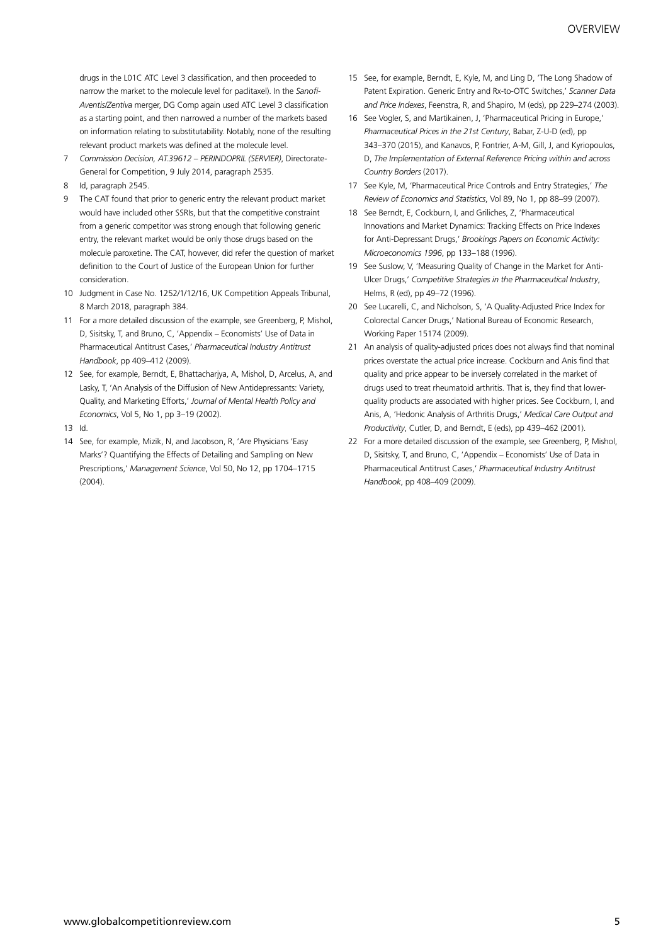drugs in the L01C ATC Level 3 classification, and then proceeded to narrow the market to the molecule level for paclitaxel). In the *Sanofi-Aventis/Zentiva* merger, DG Comp again used ATC Level 3 classification as a starting point, and then narrowed a number of the markets based on information relating to substitutability. Notably, none of the resulting relevant product markets was defined at the molecule level.

- 7 *Commission Decision, AT.39612 PERINDOPRIL (SERVIER)*, Directorate-General for Competition, 9 July 2014, paragraph 2535.
- 8 Id, paragraph 2545.
- 9 The CAT found that prior to generic entry the relevant product market would have included other SSRIs, but that the competitive constraint from a generic competitor was strong enough that following generic entry, the relevant market would be only those drugs based on the molecule paroxetine. The CAT, however, did refer the question of market definition to the Court of Justice of the European Union for further consideration.
- 10 Judgment in Case No. 1252/1/12/16, UK Competition Appeals Tribunal, 8 March 2018, paragraph 384.
- 11 For a more detailed discussion of the example, see Greenberg, P, Mishol, D, Sisitsky, T, and Bruno, C, 'Appendix – Economists' Use of Data in Pharmaceutical Antitrust Cases,' *Pharmaceutical Industry Antitrust Handbook*, pp 409–412 (2009).
- 12 See, for example, Berndt, E, Bhattacharjya, A, Mishol, D, Arcelus, A, and Lasky, T, 'An Analysis of the Diffusion of New Antidepressants: Variety, Quality, and Marketing Efforts,' *Journal of Mental Health Policy and Economics*, Vol 5, No 1, pp 3–19 (2002).
- 13 Id.
- 14 See, for example, Mizik, N, and Jacobson, R, 'Are Physicians 'Easy Marks'? Quantifying the Effects of Detailing and Sampling on New Prescriptions,' *Management Science*, Vol 50, No 12, pp 1704–1715 (2004).
- 15 See, for example, Berndt, E, Kyle, M, and Ling D, 'The Long Shadow of Patent Expiration. Generic Entry and Rx-to-OTC Switches,' *Scanner Data and Price Indexes*, Feenstra, R, and Shapiro, M (eds), pp 229–274 (2003).
- 16 See Vogler, S, and Martikainen, J, 'Pharmaceutical Pricing in Europe,' *Pharmaceutical Prices in the 21st Century*, Babar, Z-U-D (ed), pp 343–370 (2015), and Kanavos, P, Fontrier, A-M, Gill, J, and Kyriopoulos, D, *The Implementation of External Reference Pricing within and across Country Borders* (2017).
- 17 See Kyle, M, 'Pharmaceutical Price Controls and Entry Strategies,' *The Review of Economics and Statistics*, Vol 89, No 1, pp 88–99 (2007).
- 18 See Berndt, E, Cockburn, I, and Griliches, Z, 'Pharmaceutical Innovations and Market Dynamics: Tracking Effects on Price Indexes for Anti-Depressant Drugs,' *Brookings Papers on Economic Activity: Microeconomics 1996*, pp 133–188 (1996).
- 19 See Suslow, V, 'Measuring Quality of Change in the Market for Anti-Ulcer Drugs,' *Competitive Strategies in the Pharmaceutical Industry*, Helms, R (ed), pp 49–72 (1996).
- 20 See Lucarelli, C, and Nicholson, S, 'A Quality-Adjusted Price Index for Colorectal Cancer Drugs,' National Bureau of Economic Research, Working Paper 15174 (2009).
- 21 An analysis of quality-adjusted prices does not always find that nominal prices overstate the actual price increase. Cockburn and Anis find that quality and price appear to be inversely correlated in the market of drugs used to treat rheumatoid arthritis. That is, they find that lowerquality products are associated with higher prices. See Cockburn, I, and Anis, A, 'Hedonic Analysis of Arthritis Drugs,' *Medical Care Output and Productivity*, Cutler, D, and Berndt, E (eds), pp 439–462 (2001).
- 22 For a more detailed discussion of the example, see Greenberg, P, Mishol, D, Sisitsky, T, and Bruno, C, 'Appendix – Economists' Use of Data in Pharmaceutical Antitrust Cases,' *Pharmaceutical Industry Antitrust Handbook*, pp 408–409 (2009).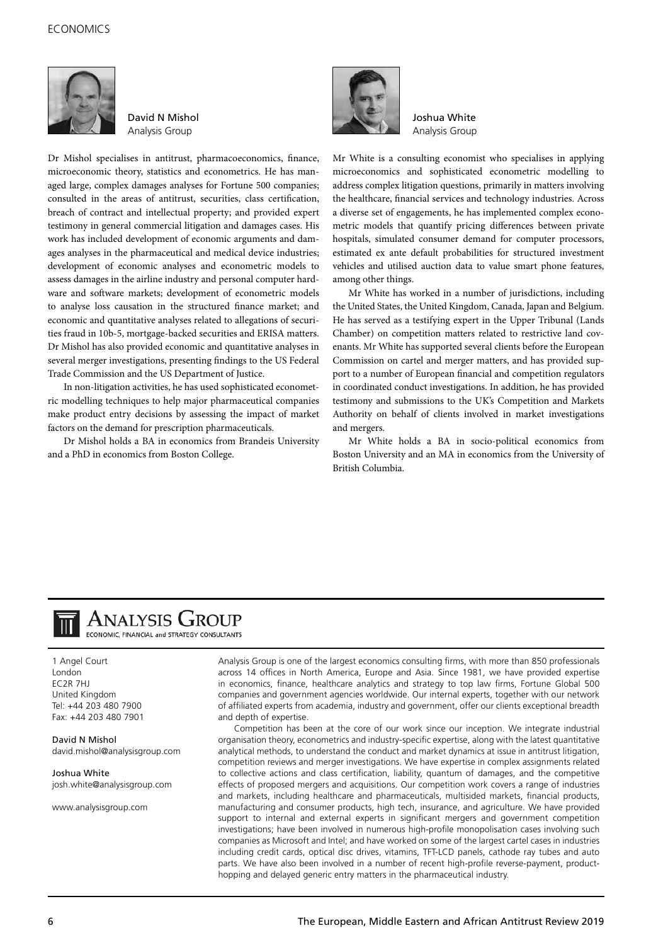

David N Mishol Analysis Group

Dr Mishol specialises in antitrust, pharmacoeconomics, finance, microeconomic theory, statistics and econometrics. He has managed large, complex damages analyses for Fortune 500 companies; consulted in the areas of antitrust, securities, class certification, breach of contract and intellectual property; and provided expert testimony in general commercial litigation and damages cases. His work has included development of economic arguments and damages analyses in the pharmaceutical and medical device industries; development of economic analyses and econometric models to assess damages in the airline industry and personal computer hardware and software markets; development of econometric models to analyse loss causation in the structured finance market; and economic and quantitative analyses related to allegations of securities fraud in 10b-5, mortgage-backed securities and ERISA matters. Dr Mishol has also provided economic and quantitative analyses in several merger investigations, presenting findings to the US Federal Trade Commission and the US Department of Justice.

In non-litigation activities, he has used sophisticated econometric modelling techniques to help major pharmaceutical companies make product entry decisions by assessing the impact of market factors on the demand for prescription pharmaceuticals.

Dr Mishol holds a BA in economics from Brandeis University and a PhD in economics from Boston College.



Joshua White Analysis Group

Mr White is a consulting economist who specialises in applying microeconomics and sophisticated econometric modelling to address complex litigation questions, primarily in matters involving the healthcare, financial services and technology industries. Across a diverse set of engagements, he has implemented complex econometric models that quantify pricing differences between private hospitals, simulated consumer demand for computer processors, estimated ex ante default probabilities for structured investment vehicles and utilised auction data to value smart phone features, among other things.

Mr White has worked in a number of jurisdictions, including the United States, the United Kingdom, Canada, Japan and Belgium. He has served as a testifying expert in the Upper Tribunal (Lands Chamber) on competition matters related to restrictive land covenants. Mr White has supported several clients before the European Commission on cartel and merger matters, and has provided support to a number of European financial and competition regulators in coordinated conduct investigations. In addition, he has provided testimony and submissions to the UK's Competition and Markets Authority on behalf of clients involved in market investigations and mergers.

Mr White holds a BA in socio-political economics from Boston University and an MA in economics from the University of British Columbia.



## **ANALYSIS GROUP**

ECONOMIC, FINANCIAL and STRATEGY CONSULTANTS

1 Angel Court London EC2R 7HJ United Kingdom Tel: +44 203 480 7900 Fax: +44 203 480 7901

David N Mishol david.mishol@analysisgroup.com

Joshua White josh.white@analysisgroup.com

www.analysisgroup.com

Analysis Group is one of the largest economics consulting firms, with more than 850 professionals across 14 offices in North America, Europe and Asia. Since 1981, we have provided expertise in economics, finance, healthcare analytics and strategy to top law firms, Fortune Global 500 companies and government agencies worldwide. Our internal experts, together with our network of affiliated experts from academia, industry and government, offer our clients exceptional breadth and depth of expertise.

Competition has been at the core of our work since our inception. We integrate industrial organisation theory, econometrics and industry-specific expertise, along with the latest quantitative analytical methods, to understand the conduct and market dynamics at issue in antitrust litigation, competition reviews and merger investigations. We have expertise in complex assignments related to collective actions and class certification, liability, quantum of damages, and the competitive effects of proposed mergers and acquisitions. Our competition work covers a range of industries and markets, including healthcare and pharmaceuticals, multisided markets, financial products, manufacturing and consumer products, high tech, insurance, and agriculture. We have provided support to internal and external experts in significant mergers and government competition investigations; have been involved in numerous high-profile monopolisation cases involving such companies as Microsoft and Intel; and have worked on some of the largest cartel cases in industries including credit cards, optical disc drives, vitamins, TFT-LCD panels, cathode ray tubes and auto parts. We have also been involved in a number of recent high-profile reverse-payment, producthopping and delayed generic entry matters in the pharmaceutical industry.